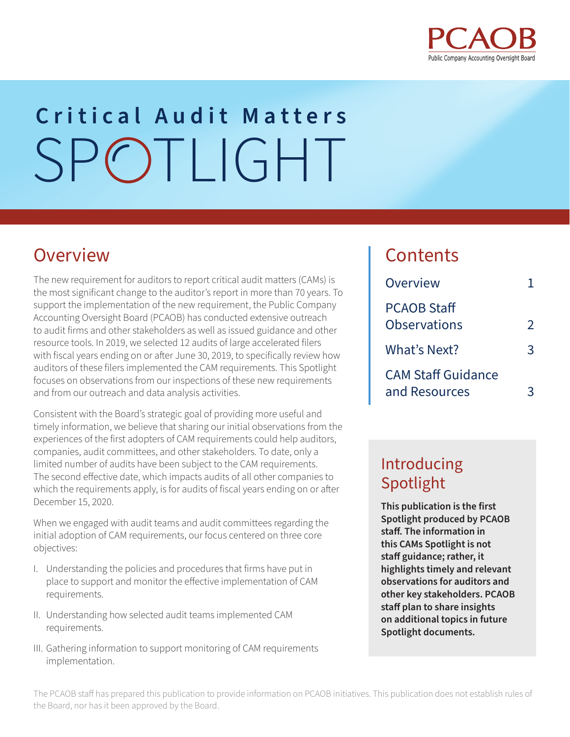

# SPOTLIGHT **Critical Audit Matters**

### Overview

The new requirement for auditors to report critical audit matters (CAMs) is the most significant change to the auditor's report in more than 70 years. To support the implementation of the new requirement, the Public Company Accounting Oversight Board (PCAOB) has conducted extensive outreach to audit firms and other stakeholders as well as issued guidance and other resource tools. In 2019, we selected 12 audits of large accelerated filers with fiscal years ending on or after June 30, 2019, to specifically review how auditors of these filers implemented the CAM requirements. This Spotlight focuses on observations from our inspections of these new requirements and from our outreach and data analysis activities.

Consistent with the Board's strategic goal of providing more useful and timely information, we believe that sharing our initial observations from the experiences of the first adopters of CAM requirements could help auditors, companies, audit committees, and other stakeholders. To date, only a limited number of audits have been subject to the CAM requirements. The second effective date, which impacts audits of all other companies to which the requirements apply, is for audits of fiscal years ending on or after December 15, 2020.

When we engaged with audit teams and audit committees regarding the initial adoption of CAM requirements, our focus centered on three core objectives:

- I. Understanding the policies and procedures that firms have put in place to support and monitor the effective implementation of CAM requirements.
- II. Understanding how selected audit teams implemented CAM requirements.
- III. Gathering information to support monitoring of CAM requirements implementation.

#### **Contents**

| Overview                                   |               |
|--------------------------------------------|---------------|
| <b>PCAOB Staff</b><br><b>Observations</b>  | $\mathcal{P}$ |
| What's Next?                               | 3             |
| <b>CAM Staff Guidance</b><br>and Resources | 3             |

#### Introducing Spotlight

**This publication is the first Spotlight produced by PCAOB staff. The information in this CAMs Spotlight is not staff guidance; rather, it highlights timely and relevant observations for auditors and other key stakeholders. PCAOB staff plan to share insights on additional topics in future Spotlight documents.**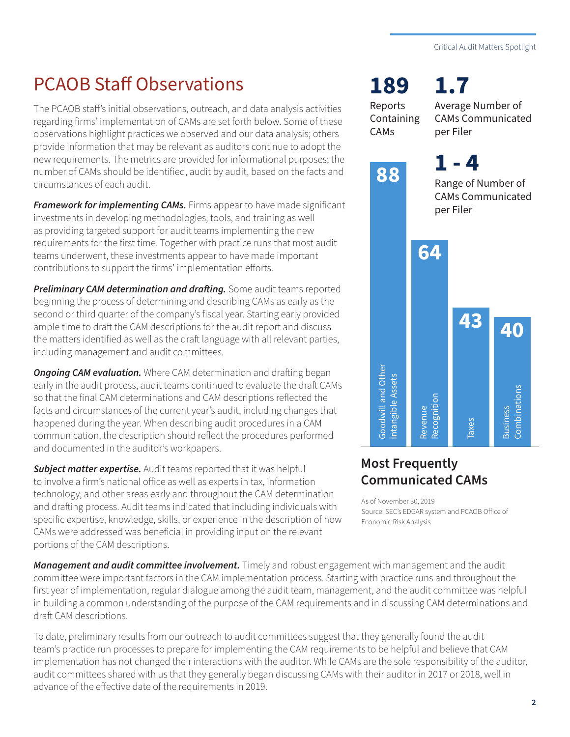# <span id="page-1-0"></span>PCAOB Staff Observations

The PCAOB staff's initial observations, outreach, and data analysis activities regarding firms' implementation of CAMs are set forth below. Some of these observations highlight practices we observed and our data analysis; others provide information that may be relevant as auditors continue to adopt the new requirements. The metrics are provided for informational purposes; the number of CAMs should be identified, audit by audit, based on the facts and circumstances of each audit.

*Framework for implementing CAMs.* Firms appear to have made significant investments in developing methodologies, tools, and training as well as providing targeted support for audit teams implementing the new requirements for the first time. Together with practice runs that most audit teams underwent, these investments appear to have made important contributions to support the firms' implementation efforts.

*Preliminary CAM determination and drafting.* Some audit teams reported beginning the process of determining and describing CAMs as early as the second or third quarter of the company's fiscal year. Starting early provided ample time to draft the CAM descriptions for the audit report and discuss the matters identified as well as the draft language with all relevant parties, including management and audit committees.

**Ongoing CAM evaluation.** Where CAM determination and drafting began early in the audit process, audit teams continued to evaluate the draft CAMs so that the final CAM determinations and CAM descriptions reflected the facts and circumstances of the current year's audit, including changes that happened during the year. When describing audit procedures in a CAM communication, the description should reflect the procedures performed and documented in the auditor's workpapers.

*Subject matter expertise.* Audit teams reported that it was helpful to involve a firm's national office as well as experts in tax, information technology, and other areas early and throughout the CAM determination and drafting process. Audit teams indicated that including individuals with specific expertise, knowledge, skills, or experience in the description of how CAMs were addressed was beneficial in providing input on the relevant portions of the CAM descriptions.

**189 1.7**

Reports **Containing** CAMs

Average Number of CAMs Communicated per Filer

**1 - 488** Range of Number of CAMs Communicated per Filer **64 43 40** Let Concerned Assets<br>
Economic Risk Analysis<br>
Risk Analysis Revenue: SEC's EDGAR sy<br>
Economic Risk Analysis<br>
Economic Risk Analysis Combinations **Combinations** Recognition Business **Business** Taxes

#### **Most Frequently Communicated CAMs**

As of November 30, 2019 Source: SEC's EDGAR system and PCAOB Office of

*Management and audit committee involvement.* Timely and robust engagement with management and the audit committee were important factors in the CAM implementation process. Starting with practice runs and throughout the first year of implementation, regular dialogue among the audit team, management, and the audit committee was helpful in building a common understanding of the purpose of the CAM requirements and in discussing CAM determinations and draft CAM descriptions.

To date, preliminary results from our outreach to audit committees suggest that they generally found the audit team's practice run processes to prepare for implementing the CAM requirements to be helpful and believe that CAM implementation has not changed their interactions with the auditor. While CAMs are the sole responsibility of the auditor, audit committees shared with us that they generally began discussing CAMs with their auditor in 2017 or 2018, well in advance of the effective date of the requirements in 2019.